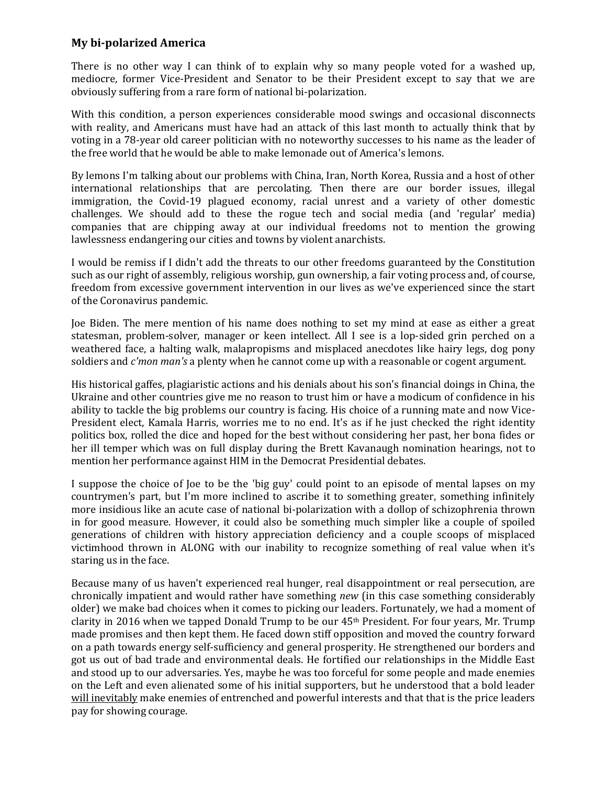## **My bi-polarized America**

There is no other way I can think of to explain why so many people voted for a washed up, mediocre, former Vice-President and Senator to be their President except to say that we are obviously suffering from a rare form of national bi-polarization.

With this condition, a person experiences considerable mood swings and occasional disconnects with reality, and Americans must have had an attack of this last month to actually think that by voting in a 78-year old career politician with no noteworthy successes to his name as the leader of the free world that he would be able to make lemonade out of America's lemons.

By lemons I'm talking about our problems with China, Iran, North Korea, Russia and a host of other international relationships that are percolating. Then there are our border issues, illegal immigration, the Covid-19 plagued economy, racial unrest and a variety of other domestic challenges. We should add to these the rogue tech and social media (and 'regular' media) companies that are chipping away at our individual freedoms not to mention the growing lawlessness endangering our cities and towns by violent anarchists.

I would be remiss if I didn't add the threats to our other freedoms guaranteed by the Constitution such as our right of assembly, religious worship, gun ownership, a fair voting process and, of course, freedom from excessive government intervention in our lives as we've experienced since the start of the Coronavirus pandemic.

Joe Biden. The mere mention of his name does nothing to set my mind at ease as either a great statesman, problem-solver, manager or keen intellect. All I see is a lop-sided grin perched on a weathered face, a halting walk, malapropisms and misplaced anecdotes like hairy legs, dog pony soldiers and *c'mon man's* a plenty when he cannot come up with a reasonable or cogent argument.

His historical gaffes, plagiaristic actions and his denials about his son's financial doings in China, the Ukraine and other countries give me no reason to trust him or have a modicum of confidence in his ability to tackle the big problems our country is facing. His choice of a running mate and now Vice-President elect, Kamala Harris, worries me to no end. It's as if he just checked the right identity politics box, rolled the dice and hoped for the best without considering her past, her bona fides or her ill temper which was on full display during the Brett Kavanaugh nomination hearings, not to mention her performance against HIM in the Democrat Presidential debates.

I suppose the choice of Joe to be the 'big guy' could point to an episode of mental lapses on my countrymen's part, but I'm more inclined to ascribe it to something greater, something infinitely more insidious like an acute case of national bi-polarization with a dollop of schizophrenia thrown in for good measure. However, it could also be something much simpler like a couple of spoiled generations of children with history appreciation deficiency and a couple scoops of misplaced victimhood thrown in ALONG with our inability to recognize something of real value when it's staring us in the face.

Because many of us haven't experienced real hunger, real disappointment or real persecution, are chronically impatient and would rather have something *new* (in this case something considerably older) we make bad choices when it comes to picking our leaders. Fortunately, we had a moment of clarity in 2016 when we tapped Donald Trump to be our 45th President. For four years, Mr. Trump made promises and then kept them. He faced down stiff opposition and moved the country forward on a path towards energy self-sufficiency and general prosperity. He strengthened our borders and got us out of bad trade and environmental deals. He fortified our relationships in the Middle East and stood up to our adversaries. Yes, maybe he was too forceful for some people and made enemies on the Left and even alienated some of his initial supporters, but he understood that a bold leader will inevitably make enemies of entrenched and powerful interests and that that is the price leaders pay for showing courage.